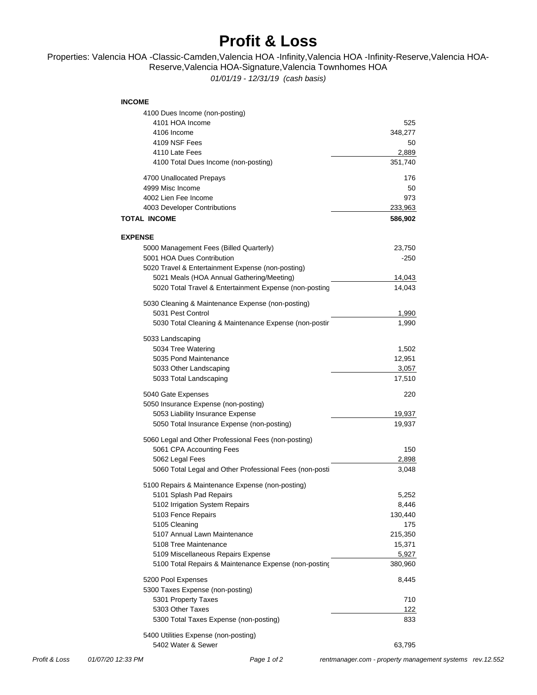## **Profit & Loss**

## Properties: Valencia HOA -Classic-Camden,Valencia HOA -Infinity,Valencia HOA -Infinity-Reserve,Valencia HOA-Reserve,Valencia HOA-Signature,Valencia Townhomes HOA

*01/01/19 - 12/31/19 (cash basis)*

## **INCOME**

| 4100 Dues Income (non-posting)                          |         |
|---------------------------------------------------------|---------|
| 4101 HOA Income                                         | 525     |
| 4106 Income                                             | 348,277 |
| 4109 NSF Fees                                           | 50      |
| 4110 Late Fees                                          | 2,889   |
| 4100 Total Dues Income (non-posting)                    | 351,740 |
| 4700 Unallocated Prepays                                | 176     |
| 4999 Misc Income                                        | 50      |
| 4002 Lien Fee Income                                    | 973     |
| 4003 Developer Contributions                            | 233,963 |
| <b>TOTAL INCOME</b>                                     | 586,902 |
| <b>EXPENSE</b>                                          |         |
| 5000 Management Fees (Billed Quarterly)                 | 23,750  |
| 5001 HOA Dues Contribution                              | -250    |
| 5020 Travel & Entertainment Expense (non-posting)       |         |
| 5021 Meals (HOA Annual Gathering/Meeting)               |         |
|                                                         | 14,043  |
| 5020 Total Travel & Entertainment Expense (non-posting  | 14,043  |
| 5030 Cleaning & Maintenance Expense (non-posting)       |         |
| 5031 Pest Control                                       | 1,990   |
| 5030 Total Cleaning & Maintenance Expense (non-postir   | 1,990   |
| 5033 Landscaping                                        |         |
| 5034 Tree Watering                                      | 1,502   |
| 5035 Pond Maintenance                                   | 12,951  |
| 5033 Other Landscaping                                  | 3,057   |
| 5033 Total Landscaping                                  | 17,510  |
| 5040 Gate Expenses                                      | 220     |
| 5050 Insurance Expense (non-posting)                    |         |
| 5053 Liability Insurance Expense                        | 19,937  |
| 5050 Total Insurance Expense (non-posting)              | 19,937  |
|                                                         |         |
| 5060 Legal and Other Professional Fees (non-posting)    |         |
| 5061 CPA Accounting Fees                                | 150     |
| 5062 Legal Fees                                         | 2,898   |
| 5060 Total Legal and Other Professional Fees (non-posti | 3,048   |
| 5100 Repairs & Maintenance Expense (non-posting)        |         |
| 5101 Splash Pad Repairs                                 | 5,252   |
| 5102 Irrigation System Repairs                          | 8,446   |
| 5103 Fence Repairs                                      | 130,440 |
| 5105 Cleaning                                           | 175     |
| 5107 Annual Lawn Maintenance                            | 215,350 |
| 5108 Tree Maintenance                                   | 15,371  |
| 5109 Miscellaneous Repairs Expense                      | 5,927   |
| 5100 Total Repairs & Maintenance Expense (non-posting   | 380,960 |
| 5200 Pool Expenses                                      | 8,445   |
| 5300 Taxes Expense (non-posting)                        |         |
| 5301 Property Taxes                                     | 710     |
| 5303 Other Taxes                                        |         |
|                                                         | 122     |
| 5300 Total Taxes Expense (non-posting)                  | 833     |
| 5400 Utilities Expense (non-posting)                    |         |
| 5402 Water & Sewer                                      | 63,795  |